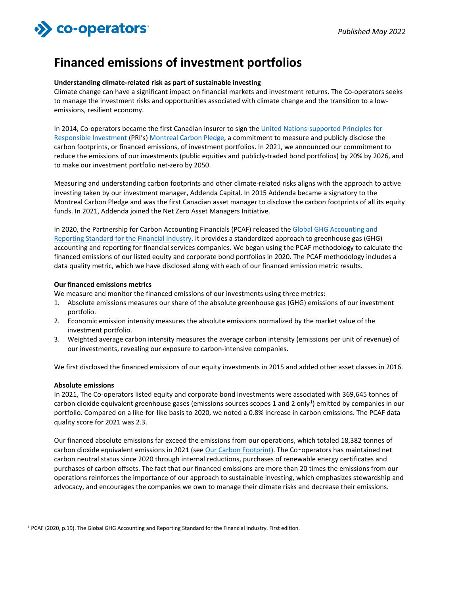# >>> co-operators

## **Financed emissions of investment portfolios**

#### **Understanding climate-related risk as part of sustainable investing**

Climate change can have a significant impact on financial markets and investment returns. The Co-operators seeks to manage the investment risks and opportunities associated with climate change and the transition to a lowemissions, resilient economy.

In 2014, Co-operators became the first Canadian insurer to sign th[e United Nations-supported Principles for](https://www.unpri.org/)  [Responsible Investment](https://www.unpri.org/) (PRI's[\) Montreal Carbon Pledge,](https://montrealpledge.org/) a commitment to measure and publicly disclose the carbon footprints, or financed emissions, of investment portfolios. In 2021, we announced our commitment to reduce the emissions of our investments (public equities and publicly-traded bond portfolios) by 20% by 2026, and to make our investment portfolio net-zero by 2050.

Measuring and understanding carbon footprints and other climate-related risks aligns with the approach to active investing taken by our investment manager, Addenda Capital. In 2015 Addenda became a signatory to the Montreal Carbon Pledge and was the first Canadian asset manager to disclose the carbon footprints of all its equity funds. In 2021, Addenda joined the Net Zero Asset Managers Initiative.

In 2020, the Partnership for Carbon Accounting Financials (PCAF) released the [Global GHG Accounting and](https://carbonaccountingfinancials.com/standard)  [Reporting Standard for the Financial Industry.](https://carbonaccountingfinancials.com/standard) It provides a standardized approach to greenhouse gas (GHG) accounting and reporting for financial services companies. We began using the PCAF methodology to calculate the financed emissions of our listed equity and corporate bond portfolios in 2020. The PCAF methodology includes a data quality metric, which we have disclosed along with each of our financed emission metric results.

#### **Our financed emissions metrics**

We measure and monitor the financed emissions of our investments using three metrics:

- 1. Absolute emissions measures our share of the absolute greenhouse gas (GHG) emissions of our investment portfolio.
- 2. Economic emission intensity measures the absolute emissions normalized by the market value of the investment portfolio.
- 3. Weighted average carbon intensity measures the average carbon intensity (emissions per unit of revenue) of our investments, revealing our exposure to carbon-intensive companies.

We first disclosed the financed emissions of our equity investments in 2015 and added other asset classes in 2016.

#### **Absolute emissions**

In 2021, The Co-operators listed equity and corporate bond investments were associated with 369,645 tonnes of carbon dioxide equivalent greenhouse gases (emissions sources scopes 1 and 2 only<sup>1</sup>) emitted by companies in our portfolio. Compared on a like-for-like basis to 2020, we noted a 0.8% increase in carbon emissions. The PCAF data quality score for 2021 was 2.3.

Our financed absolute emissions far exceed the emissions from our operations, which totaled 18,382 tonnes of carbon dioxide equivalent emissions in 2021 (se[e Our Carbon Footprint\)](https://www.cooperators.ca/en/About-Us/sustainable-communities/sustainable-business-practices/carbon-footprint/our-carbon-footprint-reporting.aspx). The Co-operators has maintained net carbon neutral status since 2020 through internal reductions, purchases of renewable energy certificates and purchases of carbon offsets. The fact that our financed emissions are more than 20 times the emissions from our operations reinforces the importance of our approach to sustainable investing, which emphasizes stewardship and advocacy, and encourages the companies we own to manage their climate risks and decrease their emissions.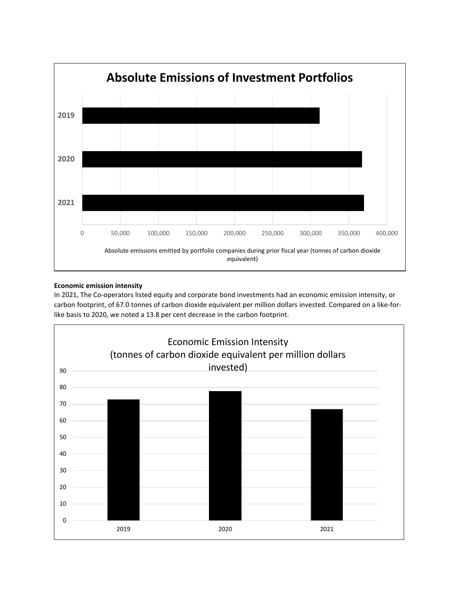

### **Economic emission intensity**

In 2021, The Co-operators listed equity and corporate bond investments had an economic emission intensity, or carbon footprint, of 67.0 tonnes of carbon dioxide equivalent per million dollars invested. Compared on a like-forlike basis to 2020, we noted a 13.8 per cent decrease in the carbon footprint.

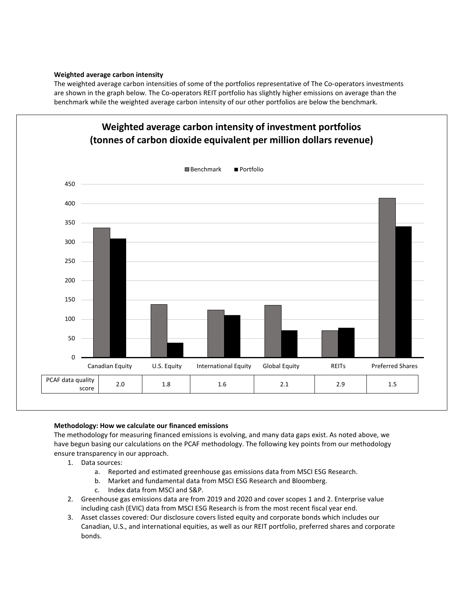#### **Weighted average carbon intensity**

The weighted average carbon intensities of some of the portfolios representative of The Co-operators investments are shown in the graph below. The Co-operators REIT portfolio has slightly higher emissions on average than the benchmark while the weighted average carbon intensity of our other portfolios are below the benchmark.



#### **Methodology: How we calculate our financed emissions**

The methodology for measuring financed emissions is evolving, and many data gaps exist. As noted above, we have begun basing our calculations on the PCAF methodology. The following key points from our methodology ensure transparency in our approach.

- 1. Data sources:
	- a. Reported and estimated greenhouse gas emissions data from MSCI ESG Research.
	- b. Market and fundamental data from MSCI ESG Research and Bloomberg.
	- c. Index data from MSCI and S&P.
- 2. Greenhouse gas emissions data are from 2019 and 2020 and cover scopes 1 and 2. Enterprise value including cash (EVIC) data from MSCI ESG Research is from the most recent fiscal year end.
- 3. Asset classes covered: Our disclosure covers listed equity and corporate bonds which includes our Canadian, U.S., and international equities, as well as our REIT portfolio, preferred shares and corporate bonds.